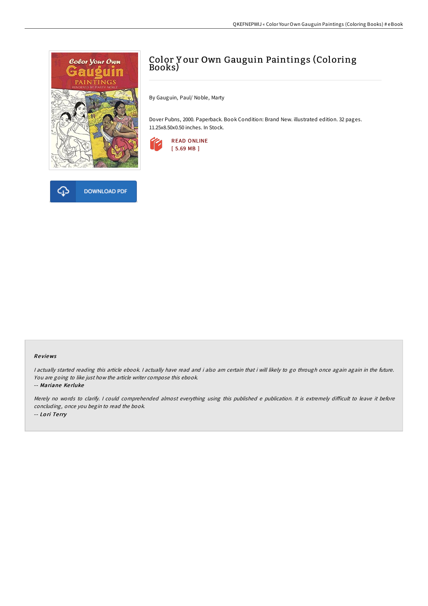



# Color Y our Own Gauguin Paintings (Coloring Books)

By Gauguin, Paul/ Noble, Marty

Dover Pubns, 2000. Paperback. Book Condition: Brand New. illustrated edition. 32 pages. 11.25x8.50x0.50 inches. In Stock.



#### Re views

I actually started reading this article ebook. I actually have read and i also am certain that i will likely to go through once again again in the future. You are going to like just how the article writer compose this ebook.

-- Mariane Kerluke

Merely no words to clarify. I could comprehended almost everything using this published e publication. It is extremely difficult to leave it before concluding, once you begin to read the book. -- Lo ri Te rry